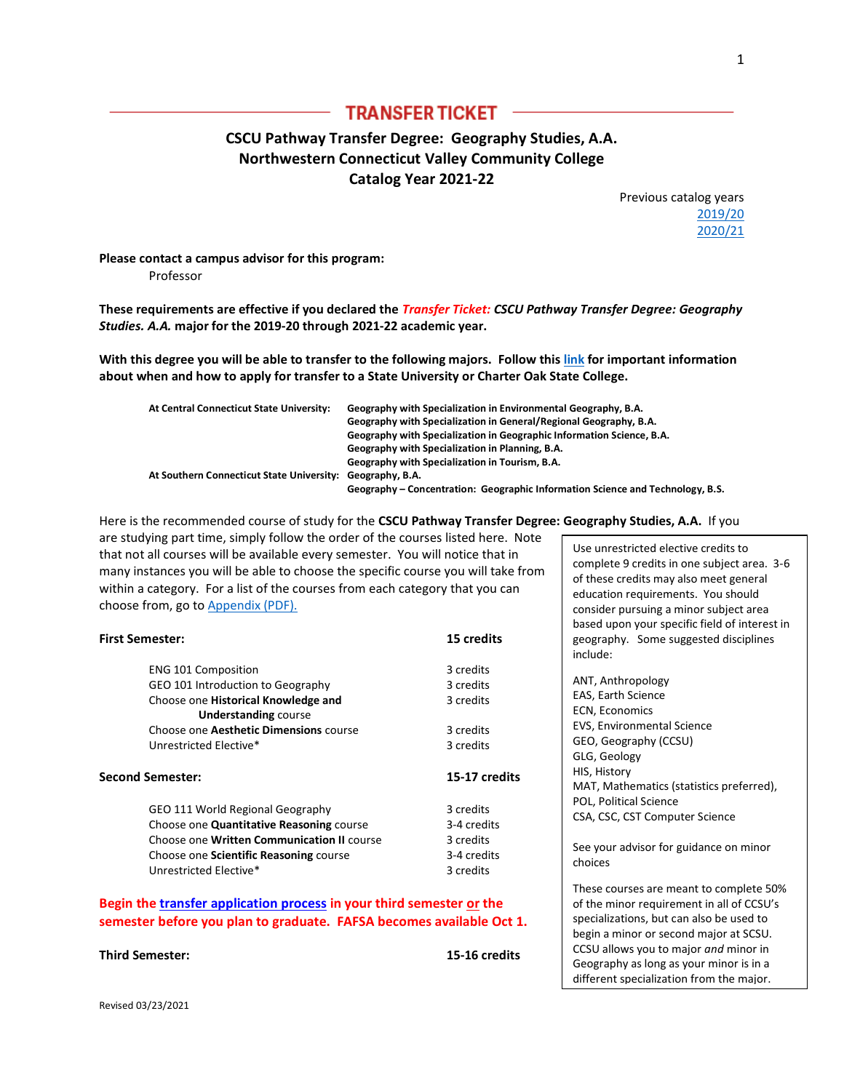## **TRANSFER TICKET**

# **CSCU Pathway Transfer Degree: Geography Studies, A.A. Northwestern Connecticut Valley Community College Catalog Year 2021-22**

Previous catalog years [2019/20](http://www.ct.edu/files/tap/geography.NCCC.2019.pdf) [2020/21](http://www.ct.edu/files/tap/geography.NCCC.2020.pdf)

**Please contact a campus advisor for this program:**  Professor

**These requirements are effective if you declared the** *Transfer Ticket: CSCU Pathway Transfer Degree: Geography Studies. A.A.* **major for the 2019-20 through 2021-22 academic year.**

**With this degree you will be able to transfer to the following majors. Follow thi[s link](http://www.ct.edu/files/pdfs/Timeline%20for%20Priority%20Registration.pdf) for important information about when and how to apply for transfer to a State University or Charter Oak State College.**

| At Central Connecticut State University:                  | Geography with Specialization in Environmental Geography, B.A.                 |
|-----------------------------------------------------------|--------------------------------------------------------------------------------|
|                                                           | Geography with Specialization in General/Regional Geography, B.A.              |
|                                                           | Geography with Specialization in Geographic Information Science, B.A.          |
|                                                           | Geography with Specialization in Planning, B.A.                                |
|                                                           | Geography with Specialization in Tourism, B.A.                                 |
| At Southern Connecticut State University: Geography, B.A. |                                                                                |
|                                                           | Geography – Concentration: Geographic Information Science and Technology, B.S. |

Here is the recommended course of study for the **CSCU Pathway Transfer Degree: Geography Studies, A.A.** If you

are studying part time, simply follow the order of the courses listed here. Note that not all courses will be available every semester. You will notice that in many instances you will be able to choose the specific course you will take from within a category. For a list of the courses from each category that you can choose from, go to [Appendix \(PDF\).](http://www.ct.edu/files/tap/NCCC-Appendix-1.pdf)

| <b>First Semester:</b>                                             | 15 credits    |  |
|--------------------------------------------------------------------|---------------|--|
| <b>ENG 101 Composition</b>                                         | 3 credits     |  |
| GEO 101 Introduction to Geography                                  | 3 credits     |  |
| Choose one Historical Knowledge and<br><b>Understanding course</b> | 3 credits     |  |
| Choose one Aesthetic Dimensions course                             | 3 credits     |  |
| Unrestricted Elective*                                             | 3 credits     |  |
| <b>Second Semester:</b>                                            | 15-17 credits |  |
| GEO 111 World Regional Geography                                   | 3 credits     |  |
| Choose one Quantitative Reasoning course                           | 3-4 credits   |  |
| Choose one Written Communication II course                         | 3 credits     |  |
| Choose one Scientific Reasoning course                             | 3-4 credits   |  |
| Unrestricted Elective*                                             | 3 credits     |  |

**Begin th[e transfer application process](http://www.ct.edu/files/pdfs/Timeline%20for%20Priority%20Registration.pdf) in your third semester or the semester before you plan to graduate. FAFSA becomes available Oct 1.**

**Third Semester: 15-16 credits**

Use unrestricted elective credits to complete 9 credits in one subject area. 3-6 of these credits may also meet general education requirements. You should consider pursuing a minor subject area based upon your specific field of interest in geography. Some suggested disciplines include:

ANT, Anthropology EAS, Earth Science ECN, Economics EVS, Environmental Science GEO, Geography (CCSU) GLG, Geology HIS, History MAT, Mathematics (statistics preferred), POL, Political Science CSA, CSC, CST Computer Science See your advisor for guidance on minor choices

These courses are meant to complete 50% of the minor requirement in all of CCSU's specializations, but can also be used to begin a minor or second major at SCSU. CCSU allows you to major *and* minor in Geography as long as your minor is in a different specialization from the major.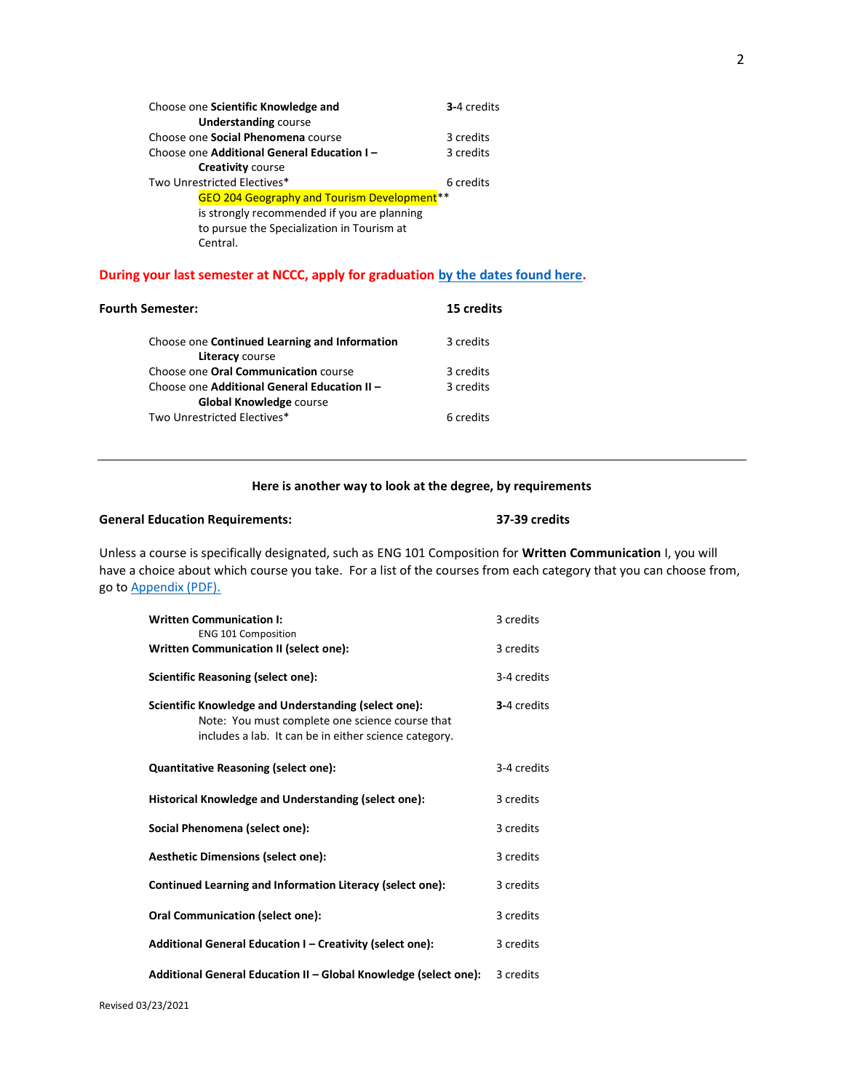| 3-4 credits                                             |  |
|---------------------------------------------------------|--|
|                                                         |  |
| 3 credits                                               |  |
| 3 credits                                               |  |
|                                                         |  |
| 6 credits                                               |  |
| GEO 204 Geography and Tourism Development <sup>**</sup> |  |
|                                                         |  |
|                                                         |  |
|                                                         |  |
|                                                         |  |

### **During your last semester at NCCC, apply for graduation [by the dates found here.](https://www.nwcc.edu/registration/forms-registration-records/)**

| <b>Fourth Semester:</b>                                                        | 15 credits |
|--------------------------------------------------------------------------------|------------|
| Choose one Continued Learning and Information<br>Literacy course               | 3 credits  |
| Choose one Oral Communication course                                           | 3 credits  |
| Choose one Additional General Education II -<br><b>Global Knowledge course</b> | 3 credits  |
| Two Unrestricted Electives*                                                    | 6 credits  |

## **Here is another way to look at the degree, by requirements**

### **General Education Requirements: 37-39 credits**

Unless a course is specifically designated, such as ENG 101 Composition for **Written Communication** I, you will have a choice about which course you take. For a list of the courses from each category that you can choose from, go to [Appendix \(PDF\).](http://www.ct.edu/files/tap/NCCC-Appendix-1.pdf)

| <b>Written Communication I:</b><br><b>ENG 101 Composition</b>                                                                                                    | 3 credits   |
|------------------------------------------------------------------------------------------------------------------------------------------------------------------|-------------|
| Written Communication II (select one):                                                                                                                           | 3 credits   |
| Scientific Reasoning (select one):                                                                                                                               | 3-4 credits |
| Scientific Knowledge and Understanding (select one):<br>Note: You must complete one science course that<br>includes a lab. It can be in either science category. | 3-4 credits |
| <b>Quantitative Reasoning (select one):</b>                                                                                                                      | 3-4 credits |
| Historical Knowledge and Understanding (select one):                                                                                                             | 3 credits   |
| Social Phenomena (select one):                                                                                                                                   | 3 credits   |
| <b>Aesthetic Dimensions (select one):</b>                                                                                                                        | 3 credits   |
| Continued Learning and Information Literacy (select one):                                                                                                        | 3 credits   |
| <b>Oral Communication (select one):</b>                                                                                                                          | 3 credits   |
| Additional General Education I – Creativity (select one):                                                                                                        | 3 credits   |
| Additional General Education II - Global Knowledge (select one):                                                                                                 | 3 credits   |